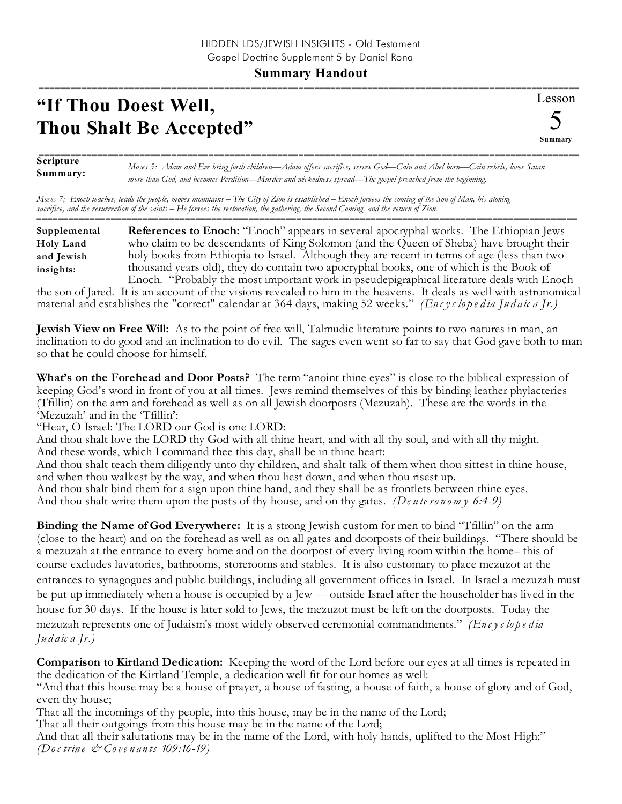## **Summary Handout**

## **"If Thou Doest Well, Thou Shalt Be Accepted"**

Lesson 5 **Summary** ======================================================================================================

**Scripture Summary:** ====================================================================================================== *Moses 5: Adam and Eve bring forth children—Adam offers sacrifice, serves God—Cain and Abel born—Cain rebels, loves Satan more than God, and becomes Perdition—Murder and wickedness spread—The gospel preached from the beginning.*

*Moses 7; Enoch teaches, leads the people, moves mountains – The City of Zion is established – Enoch forsees the coming of the Son of Man, his atoning sacrifice, and the resurrection of the saints – He forsees the restoration, the gathering, the Second Coming, and the return of Zion.* ======================================================================================================

| Supplemental     | <b>References to Enoch:</b> "Enoch" appears in several apocryphal works. The Ethiopian Jews  |
|------------------|----------------------------------------------------------------------------------------------|
| <b>Holy Land</b> | who claim to be descendants of King Solomon (and the Queen of Sheba) have brought their      |
| and Jewish       | holy books from Ethiopia to Israel. Although they are recent in terms of age (less than two- |
| insights:        | thousand years old), they do contain two apocryphal books, one of which is the Book of       |
|                  | Enoch. "Probably the most important work in pseudepigraphical literature deals with Enoch    |

the son of Jared. It is an account of the visions revealed to him in the heavens. It deals as well with astronomical material and establishes the "correct" calendar at 364 days, making 52 weeks." *(En c yc lo p e d ia Ju d aic a Jr.)*

**Jewish View on Free Will:** As to the point of free will, Talmudic literature points to two natures in man, an inclination to do good and an inclination to do evil. The sages even went so far to say that God gave both to man so that he could choose for himself.

**What's on the Forehead and Door Posts?** The term "anoint thine eyes" is close to the biblical expression of keeping God's word in front of you at all times. Jews remind themselves of this by binding leather phylacteries (Tfillin) on the arm and forehead as well as on all Jewish doorposts (Mezuzah). These are the words in the 'Mezuzah' and in the 'Tfillin':

"Hear, O Israel: The LORD our God is one LORD:

And thou shalt love the LORD thy God with all thine heart, and with all thy soul, and with all thy might. And these words, which I command thee this day, shall be in thine heart:

And thou shalt teach them diligently unto thy children, and shalt talk of them when thou sittest in thine house, and when thou walkest by the way, and when thou liest down, and when thou risest up.

And thou shalt bind them for a sign upon thine hand, and they shall be as frontlets between thine eyes. And thou shalt write them upon the posts of thy house, and on thy gates. *(De u te ro n om y 6:4-9)*

**Binding the Name of God Everywhere:** It is a strong Jewish custom for men to bind "Tfillin" on the arm (close to the heart) and on the forehead as well as on all gates and doorposts of their buildings. "There should be a mezuzah at the entrance to every home and on the doorpost of every living room within the home– this of course excludes lavatories, bathrooms, storerooms and stables. It is also customary to place mezuzot at the entrances to synagogues and public buildings, including all government offices in Israel. In Israel a mezuzah must be put up immediately when a house is occupied by a Jew --- outside Israel after the householder has lived in the house for 30 days. If the house is later sold to Jews, the mezuzot must be left on the doorposts. Today the mezuzah represents one of Judaism's most widely observed ceremonial commandments." *(En c yc lo p e d ia Ju d aic a Jr.)*

**Comparison to Kirtland Dedication:** Keeping the word of the Lord before our eyes at all times is repeated in the dedication of the Kirtland Temple, a dedication well fit for our homes as well:

"And that this house may be a house of prayer, a house of fasting, a house of faith, a house of glory and of God, even thy house;

That all the incomings of thy people, into this house, may be in the name of the Lord;

That all their outgoings from this house may be in the name of the Lord;

And that all their salutations may be in the name of the Lord, with holy hands, uplifted to the Most High;" *(Doc trin e & Cove n an ts 109:16-19)*